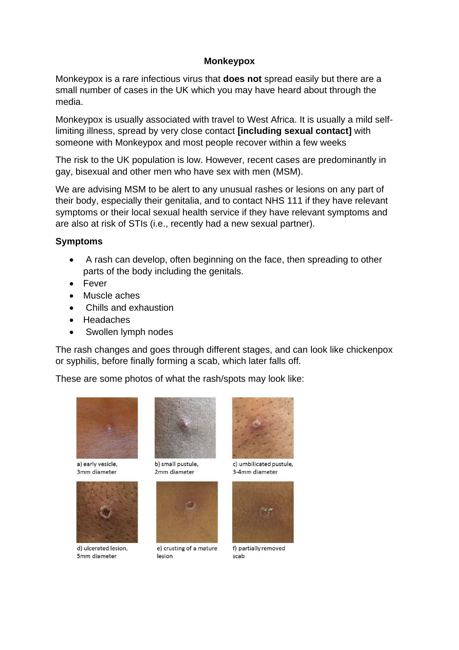## **Monkeypox**

Monkeypox is a rare infectious virus that **does not** spread easily but there are a small number of cases in the UK which you may have heard about through the media.

Monkeypox is usually associated with travel to West Africa. It is usually a mild selflimiting illness, spread by very close contact **[including sexual contact]** with someone with Monkeypox and most people recover within a few weeks

The risk to the UK population is low. However, recent cases are predominantly in gay, bisexual and other men who have sex with men (MSM).

We are advising MSM to be alert to any unusual rashes or lesions on any part of their body, especially their genitalia, and to contact NHS 111 if they have relevant symptoms or their local sexual health service if they have relevant symptoms and are also at risk of STIs (i.e., recently had a new sexual partner).

## **Symptoms**

- A rash can develop, often beginning on the face, then spreading to other parts of the body including the genitals.
- Fever
- Muscle aches
- Chills and exhaustion
- Headaches
- Swollen lymph nodes

The rash changes and goes through different stages, and can look like chickenpox or syphilis, before finally forming a scab, which later falls off.

These are some photos of what the rash/spots may look like:



a) early vesicle, 3mm diameter



d) ulcerated lesion, 5mm diameter



b) small pustule, 2mm diameter



e) crusting of a mature lesion



c) umbilicated pustule. 3-4mm diameter



f) partially removed scab